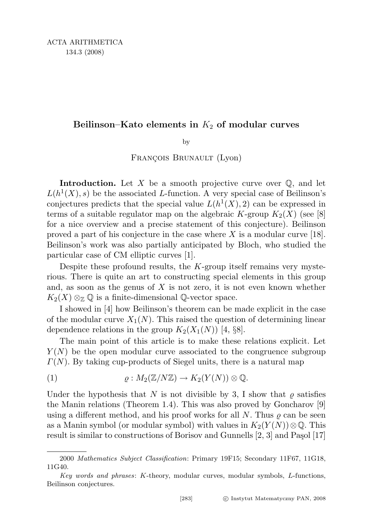## Beilinson–Kato elements in  $K_2$  of modular curves

by

FRANÇOIS BRUNAULT (Lyon)

**Introduction.** Let X be a smooth projective curve over  $\mathbb{Q}$ , and let  $L(h^1(X), s)$  be the associated L-function. A very special case of Beilinson's conjectures predicts that the special value  $L(h^1(X), 2)$  can be expressed in terms of a suitable regulator map on the algebraic K-group  $K_2(X)$  (see [8] for a nice overview and a precise statement of this conjecture). Beilinson proved a part of his conjecture in the case where  $X$  is a modular curve [18]. Beilinson's work was also partially anticipated by Bloch, who studied the particular case of CM elliptic curves [1].

Despite these profound results, the  $K$ -group itself remains very mysterious. There is quite an art to constructing special elements in this group and, as soon as the genus of  $X$  is not zero, it is not even known whether  $K_2(X) \otimes_{\mathbb{Z}} \mathbb{Q}$  is a finite-dimensional  $\mathbb{Q}$ -vector space.

I showed in [4] how Beilinson's theorem can be made explicit in the case of the modular curve  $X_1(N)$ . This raised the question of determining linear dependence relations in the group  $K_2(X_1(N))$  [4, §8].

The main point of this article is to make these relations explicit. Let  $Y(N)$  be the open modular curve associated to the congruence subgroup  $\Gamma(N)$ . By taking cup-products of Siegel units, there is a natural map

(1) 
$$
\varrho: M_2(\mathbb{Z}/N\mathbb{Z}) \to K_2(Y(N)) \otimes \mathbb{Q}.
$$

Under the hypothesis that N is not divisible by 3, I show that  $\rho$  satisfies the Manin relations (Theorem 1.4). This was also proved by Goncharov [9] using a different method, and his proof works for all N. Thus  $\rho$  can be seen as a Manin symbol (or modular symbol) with values in  $K_2(Y(N))\otimes\mathbb{Q}$ . This result is similar to constructions of Borisov and Gunnells  $[2, 3]$  and Paşol  $[17]$ 

<sup>2000</sup> Mathematics Subject Classification: Primary 19F15; Secondary 11F67, 11G18, 11G40.

Key words and phrases: K-theory, modular curves, modular symbols, L-functions, Beilinson conjectures.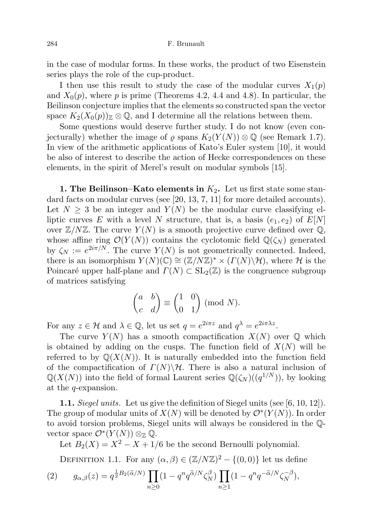in the case of modular forms. In these works, the product of two Eisenstein series plays the role of the cup-product.

I then use this result to study the case of the modular curves  $X_1(p)$ and  $X_0(p)$ , where p is prime (Theorems 4.2, 4.4 and 4.8). In particular, the Beilinson conjecture implies that the elements so constructed span the vector space  $K_2(X_0(p))\mathbb{Z} \otimes \mathbb{Q}$ , and I determine all the relations between them.

Some questions would deserve further study. I do not know (even conjecturally) whether the image of  $\varrho$  spans  $K_2(Y(N)) \otimes \mathbb{Q}$  (see Remark 1.7). In view of the arithmetic applications of Kato's Euler system [10], it would be also of interest to describe the action of Hecke correspondences on these elements, in the spirit of Merel's result on modular symbols [15].

1. The Beilinson–Kato elements in  $K_2$ . Let us first state some standard facts on modular curves (see [20, 13, 7, 11] for more detailed accounts). Let  $N \geq 3$  be an integer and  $Y(N)$  be the modular curve classifying elliptic curves E with a level N structure, that is, a basis  $(e_1, e_2)$  of  $E[N]$ over  $\mathbb{Z}/N\mathbb{Z}$ . The curve  $Y(N)$  is a smooth projective curve defined over  $\mathbb{Q}$ , whose affine ring  $\mathcal{O}(Y(N))$  contains the cyclotomic field  $\mathbb{Q}(\zeta_N)$  generated by  $\zeta_N := e^{2i\pi/N}$ . The curve  $Y(N)$  is not geometrically connected. Indeed, there is an isomorphism  $Y(N)(\mathbb{C}) \cong (\mathbb{Z}/N\mathbb{Z})^* \times (\Gamma(N)\backslash \mathcal{H})$ , where  $\mathcal H$  is the Poincaré upper half-plane and  $\Gamma(N) \subset SL_2(\mathbb{Z})$  is the congruence subgroup of matrices satisfying

$$
\begin{pmatrix} a & b \\ c & d \end{pmatrix} \equiv \begin{pmatrix} 1 & 0 \\ 0 & 1 \end{pmatrix} \text{ (mod } N).
$$

For any  $z \in \mathcal{H}$  and  $\lambda \in \mathbb{Q}$ , let us set  $q = e^{2i\pi z}$  and  $q^{\lambda} = e^{2i\pi \lambda z}$ .

The curve  $Y(N)$  has a smooth compactification  $X(N)$  over  $\mathbb Q$  which is obtained by adding on the cusps. The function field of  $X(N)$  will be referred to by  $\mathbb{Q}(X(N))$ . It is naturally embedded into the function field of the compactification of  $\Gamma(N)\backslash\mathcal{H}$ . There is also a natural inclusion of  $\mathbb{Q}(X(N))$  into the field of formal Laurent series  $\mathbb{Q}(\zeta_N)((q^{1/N}))$ , by looking at the q-expansion.

1.1. Siegel units. Let us give the definition of Siegel units (see [6, 10, 12]). The group of modular units of  $X(N)$  will be denoted by  $\mathcal{O}^*(Y(N))$ . In order to avoid torsion problems, Siegel units will always be considered in the Qvector space  $\mathcal{O}^*(Y(N)) \otimes_{\mathbb{Z}} \mathbb{Q}$ .

Let  $B_2(X) = X^2 - X + 1/6$  be the second Bernoulli polynomial.

DEFINITION 1.1. For any  $(\alpha, \beta) \in (\mathbb{Z}/N\mathbb{Z})^2 - \{(0,0)\}\$ let us define

(2) 
$$
g_{\alpha,\beta}(z) = q^{\frac{1}{2}B_2(\widetilde{\alpha}/N)} \prod_{n\geq 0} (1 - q^n q^{\widetilde{\alpha}/N} \zeta_N^{\beta}) \prod_{n\geq 1} (1 - q^n q^{-\widetilde{\alpha}/N} \zeta_N^{-\beta}),
$$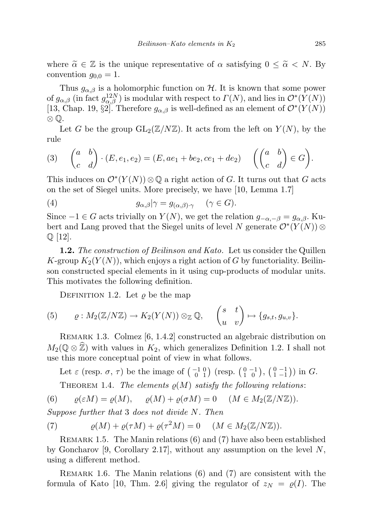where  $\tilde{\alpha} \in \mathbb{Z}$  is the unique representative of  $\alpha$  satisfying  $0 \leq \tilde{\alpha} \leq N$ . By convention  $g_{0,0} = 1$ .

Thus  $g_{\alpha,\beta}$  is a holomorphic function on H. It is known that some power of  $g_{\alpha,\beta}$  (in fact  $g_{\alpha,\beta}^{12N}$ ) is modular with respect to  $\Gamma(N)$ , and lies in  $\mathcal{O}^*(Y(N))$ [13, Chap. 19, §2]. Therefore  $g_{\alpha,\beta}$  is well-defined as an element of  $\mathcal{O}^*(Y(N))$ ⊗ Q.

Let G be the group  $GL_2(\mathbb{Z}/N\mathbb{Z})$ . It acts from the left on  $Y(N)$ , by the rule

(3) 
$$
\begin{pmatrix} a & b \ c & d \end{pmatrix} \cdot (E, e_1, e_2) = (E, ae_1 + be_2, ce_1 + de_2) \quad \left( \begin{pmatrix} a & b \ c & d \end{pmatrix} \in G \right).
$$

This induces on  $\mathcal{O}^*(Y(N)) \otimes \mathbb{Q}$  a right action of G. It turns out that G acts on the set of Siegel units. More precisely, we have [10, Lemma 1.7]

(4) 
$$
g_{\alpha,\beta}|\gamma = g_{(\alpha,\beta)\cdot\gamma} \quad (\gamma \in G).
$$

Since  $-1 \in G$  acts trivially on  $Y(N)$ , we get the relation  $g_{-\alpha,-\beta} = g_{\alpha,\beta}$ . Kubert and Lang proved that the Siegel units of level N generate  $\mathcal{O}^*(Y(N))$  ⊗  $\mathbb{Q}$  |12|.

**1.2.** The construction of Beilinson and Kato. Let us consider the Quillen K-group  $K_2(Y(N))$ , which enjoys a right action of G by functoriality. Beilinson constructed special elements in it using cup-products of modular units. This motivates the following definition.

DEFINITION 1.2. Let  $\rho$  be the map

(5) 
$$
\varrho: M_2(\mathbb{Z}/N\mathbb{Z}) \to K_2(Y(N)) \otimes_{\mathbb{Z}} \mathbb{Q}, \quad \begin{pmatrix} s & t \\ u & v \end{pmatrix} \mapsto \{g_{s,t}, g_{u,v}\}.
$$

Remark 1.3. Colmez [6, 1.4.2] constructed an algebraic distribution on  $M_2(\mathbb{Q} \otimes \mathbb{Z})$  with values in  $K_2$ , which generalizes Definition 1.2. I shall not use this more conceptual point of view in what follows.

Let  $\varepsilon$  (resp.  $\sigma$ ,  $\tau$ ) be the image of  $\begin{pmatrix} -1 & 0 \\ 0 & 1 \end{pmatrix}$  (resp.  $\begin{pmatrix} 0 & -1 \\ 1 & 0 \end{pmatrix}$ ,  $\begin{pmatrix} 0 & -1 \\ 1 & -1 \end{pmatrix}$ ) in G. THEOREM 1.4. The elements  $\varrho(M)$  satisfy the following relations:

(6)  $\rho(\varepsilon M) = \rho(M), \quad \rho(M) + \rho(\sigma M) = 0 \quad (M \in M_2(\mathbb{Z}/N\mathbb{Z})).$ 

Suppose further that 3 does not divide N. Then

(7) 
$$
\varrho(M) + \varrho(\tau M) + \varrho(\tau^2 M) = 0 \quad (M \in M_2(\mathbb{Z}/N\mathbb{Z})).
$$

Remark 1.5. The Manin relations (6) and (7) have also been established by Goncharov [9, Corollary 2.17], without any assumption on the level  $N$ , using a different method.

REMARK 1.6. The Manin relations  $(6)$  and  $(7)$  are consistent with the formula of Kato [10, Thm. 2.6] giving the regulator of  $z_N = \varrho(I)$ . The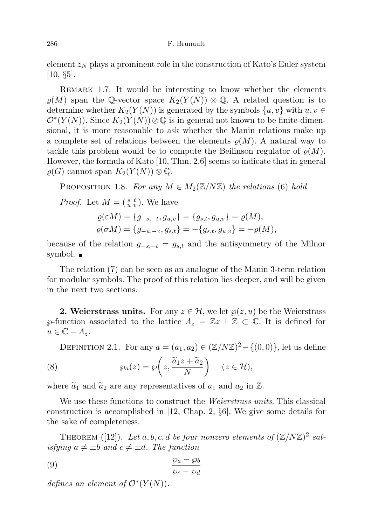element  $z_N$  plays a prominent role in the construction of Kato's Euler system  $[10, \, \S5]$ .

REMARK 1.7. It would be interesting to know whether the elements  $\varrho(M)$  span the Q-vector space  $K_2(Y(N)) \otimes \mathbb{Q}$ . A related question is to determine whether  $K_2(Y(N))$  is generated by the symbols  $\{u, v\}$  with  $u, v \in$  $\mathcal{O}^*(Y(N))$ . Since  $K_2(Y(N))\otimes\mathbb{Q}$  is in general not known to be finite-dimensional, it is more reasonable to ask whether the Manin relations make up a complete set of relations between the elements  $\rho(M)$ . A natural way to tackle this problem would be to compute the Beilinson regulator of  $\rho(M)$ . However, the formula of Kato [10, Thm. 2.6] seems to indicate that in general  $\varrho(G)$  cannot span  $K_2(Y(N))\otimes \mathbb{Q}$ .

PROPOSITION 1.8. For any  $M \in M_2(\mathbb{Z}/N\mathbb{Z})$  the relations (6) hold.

*Proof.* Let  $M = \begin{pmatrix} s & t \\ u & v \end{pmatrix}$ . We have

$$
\varrho(\varepsilon M) = \{g_{-s,-t}, g_{u,v}\} = \{g_{s,t}, g_{u,v}\} = \varrho(M), \n\varrho(\sigma M) = \{g_{-u,-v}, g_{s,t}\} = -\{g_{s,t}, g_{u,v}\} = -\varrho(M),
$$

because of the relation  $g_{-s,-t} = g_{s,t}$  and the antisymmetry of the Milnor symbol.

The relation (7) can be seen as an analogue of the Manin 3-term relation for modular symbols. The proof of this relation lies deeper, and will be given in the next two sections.

**2. Weierstrass units.** For any  $z \in \mathcal{H}$ , we let  $\varphi(z, u)$  be the Weierstrass  $\wp$ -function associated to the lattice  $\Lambda_z = \mathbb{Z}z + \mathbb{Z} \subset \mathbb{C}$ . It is defined for  $u \in \mathbb{C} - \Lambda_z.$ 

DEFINITION 2.1. For any  $a = (a_1, a_2) \in (\mathbb{Z}/N\mathbb{Z})^2 - \{(0, 0)\}\,$ , let us define

(8) 
$$
\wp_a(z) = \wp\left(z, \frac{\widetilde{a}_1 z + \widetilde{a}_2}{N}\right) \quad (z \in \mathcal{H}),
$$

where  $\tilde{a}_1$  and  $\tilde{a}_2$  are any representatives of  $a_1$  and  $a_2$  in  $\mathbb{Z}$ .

We use these functions to construct the *Weierstrass units*. This classical construction is accomplished in [12, Chap. 2, §6]. We give some details for the sake of completeness.

THEOREM ([12]). Let a, b, c, d be four nonzero elements of  $(\mathbb{Z}/N\mathbb{Z})^2$  satisfying  $a \neq \pm b$  and  $c \neq \pm d$ . The function

$$
\frac{\wp_a - \wp_b}{\wp_c - \wp_d}
$$

*defines an element of*  $\mathcal{O}^*(Y(N))$ .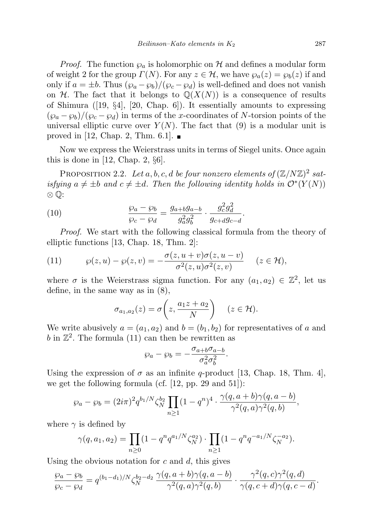*Proof.* The function  $\varphi_a$  is holomorphic on H and defines a modular form of weight 2 for the group  $\Gamma(N)$ . For any  $z \in \mathcal{H}$ , we have  $\varphi_a(z) = \varphi_b(z)$  if and only if  $a = \pm b$ . Thus  $(\wp_a - \wp_b)/(\wp_c - \wp_d)$  is well-defined and does not vanish on H. The fact that it belongs to  $\mathbb{Q}(X(N))$  is a consequence of results of Shimura ([19, §4], [20, Chap. 6]). It essentially amounts to expressing  $(\wp_a - \wp_b)/(\wp_c - \wp_d)$  in terms of the x-coordinates of N-torsion points of the universal elliptic curve over  $Y(N)$ . The fact that (9) is a modular unit is proved in [12, Chap. 2, Thm. 6.1].  $\blacksquare$ 

Now we express the Weierstrass units in terms of Siegel units. Once again this is done in [12, Chap. 2,  $\S6$ ].

PROPOSITION 2.2. Let  $a, b, c, d$  be four nonzero elements of  $(\mathbb{Z}/N\mathbb{Z})^2$  satisfying  $a \neq \pm b$  and  $c \neq \pm d$ . Then the following identity holds in  $\mathcal{O}^*(Y(N))$ ⊗ Q:

(10) 
$$
\frac{\wp_a - \wp_b}{\wp_c - \wp_d} = \frac{g_{a+b}g_{a-b}}{g_a^2 g_b^2} \cdot \frac{g_c^2 g_d^2}{g_{c+d} g_{c-d}}.
$$

Proof. We start with the following classical formula from the theory of elliptic functions [13, Chap. 18, Thm. 2]:

(11) 
$$
\wp(z, u) - \wp(z, v) = -\frac{\sigma(z, u+v)\sigma(z, u-v)}{\sigma^2(z, u)\sigma^2(z, v)} \quad (z \in \mathcal{H}),
$$

where  $\sigma$  is the Weierstrass sigma function. For any  $(a_1, a_2) \in \mathbb{Z}^2$ , let us define, in the same way as in (8),

$$
\sigma_{a_1,a_2}(z) = \sigma\bigg(z, \frac{a_1z + a_2}{N}\bigg) \quad (z \in \mathcal{H}).
$$

We write abusively  $a = (a_1, a_2)$  and  $b = (b_1, b_2)$  for representatives of a and  $b$  in  $\mathbb{Z}^2$ . The formula (11) can then be rewritten as

$$
\wp_a - \wp_b = -\frac{\sigma_{a+b}\sigma_{a-b}}{\sigma_a^2 \sigma_b^2}.
$$

Using the expression of  $\sigma$  as an infinite q-product [13, Chap. 18, Thm. 4], we get the following formula (cf.  $[12, pp. 29 \text{ and } 51]$ ):

$$
\wp_a - \wp_b = (2i\pi)^2 q^{b_1/N} \zeta_N^{b_2} \prod_{n\geq 1} (1-q^n)^4 \cdot \frac{\gamma(q, a+b)\gamma(q, a-b)}{\gamma^2(q, a)\gamma^2(q, b)},
$$

where  $\gamma$  is defined by

$$
\gamma(q, a_1, a_2) = \prod_{n \ge 0} (1 - q^n q^{a_1/N} \zeta_N^{a_2}) \cdot \prod_{n \ge 1} (1 - q^n q^{-a_1/N} \zeta_N^{-a_2}).
$$

Using the obvious notation for  $c$  and  $d$ , this gives

$$
\frac{\wp_a - \wp_b}{\wp_c - \wp_d} = q^{(b_1 - d_1)/N} \zeta_N^{b_2 - d_2} \frac{\gamma(q, a+b)\gamma(q, a-b)}{\gamma^2(q, a)\gamma^2(q, b)} \cdot \frac{\gamma^2(q, c)\gamma^2(q, d)}{\gamma(q, c+d)\gamma(q, c-d)}.
$$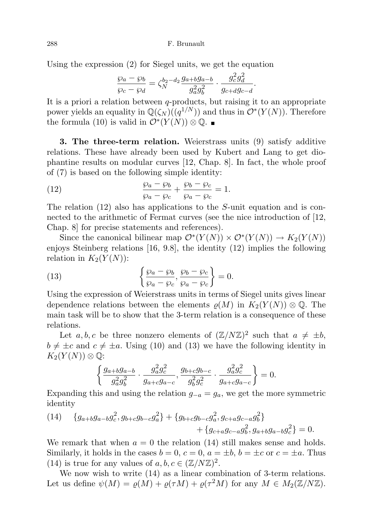Using the expression (2) for Siegel units, we get the equation

$$
\frac{\wp_a - \wp_b}{\wp_c - \wp_d} = \zeta_N^{b_2 - d_2} \frac{g_{a+b}g_{a-b}}{g_a^2 g_b^2} \cdot \frac{g_c^2 g_d^2}{g_{c+d}g_{c-d}}.
$$

It is a priori a relation between  $q$ -products, but raising it to an appropriate power yields an equality in  $\mathbb{Q}(\zeta_N)((q^{1/N}))$  and thus in  $\mathcal{O}^*(Y(N))$ . Therefore the formula (10) is valid in  $\mathcal{O}^*(Y(N)) \otimes \mathbb{Q}$ .

3. The three-term relation. Weierstrass units (9) satisfy additive relations. These have already been used by Kubert and Lang to get diophantine results on modular curves [12, Chap. 8]. In fact, the whole proof of (7) is based on the following simple identity:

(12) 
$$
\frac{\wp_a - \wp_b}{\wp_a - \wp_c} + \frac{\wp_b - \wp_c}{\wp_a - \wp_c} = 1.
$$

The relation  $(12)$  also has applications to the S-unit equation and is connected to the arithmetic of Fermat curves (see the nice introduction of [12, Chap. 8] for precise statements and references).

Since the canonical bilinear map  $\mathcal{O}^*(Y(N)) \times \mathcal{O}^*(Y(N)) \to K_2(Y(N))$ enjoys Steinberg relations [16, 9.8], the identity (12) implies the following relation in  $K_2(Y(N))$ :

(13) 
$$
\left\{\frac{\wp_a - \wp_b}{\wp_a - \wp_c}, \frac{\wp_b - \wp_c}{\wp_a - \wp_c}\right\} = 0.
$$

Using the expression of Weierstrass units in terms of Siegel units gives linear dependence relations between the elements  $\rho(M)$  in  $K_2(Y(N)) \otimes \mathbb{Q}$ . The main task will be to show that the 3-term relation is a consequence of these relations.

Let a, b, c be three nonzero elements of  $(\mathbb{Z}/N\mathbb{Z})^2$  such that  $a \neq \pm b$ ,  $b \neq \pm c$  and  $c \neq \pm a$ . Using (10) and (13) we have the following identity in  $K_2(Y(N))\otimes\mathbb{Q}$ :

$$
\left\{\frac{g_{a+b}g_{a-b}}{g_a^2g_b^2}\cdot\frac{g_a^2g_c^2}{g_{a+c}g_{a-c}},\frac{g_{b+c}g_{b-c}}{g_b^2g_c^2}\cdot\frac{g_a^2g_c^2}{g_{a+c}g_{a-c}}\right\}=0.
$$

Expanding this and using the relation  $g_{-a} = g_a$ , we get the more symmetric identity

(14) 
$$
\{g_{a+b}g_{a-b}g_c^2, g_{b+c}g_{b-c}g_a^2\} + \{g_{b+c}g_{b-c}g_a^2, g_{c+a}g_{c-a}g_b^2\} + \{g_{c+a}g_{c-a}g_b^2, g_{a+b}g_{a-b}g_c^2\} = 0.
$$

We remark that when  $a = 0$  the relation (14) still makes sense and holds. Similarly, it holds in the cases  $b = 0$ ,  $c = 0$ ,  $a = \pm b$ ,  $b = \pm c$  or  $c = \pm a$ . Thus (14) is true for any values of  $a, b, c \in (\mathbb{Z}/N\mathbb{Z})^2$ .

We now wish to write  $(14)$  as a linear combination of 3-term relations. Let us define  $\psi(M) = \varrho(M) + \varrho(\tau M) + \varrho(\tau^2 M)$  for any  $M \in M_2(\mathbb{Z}/N\mathbb{Z})$ .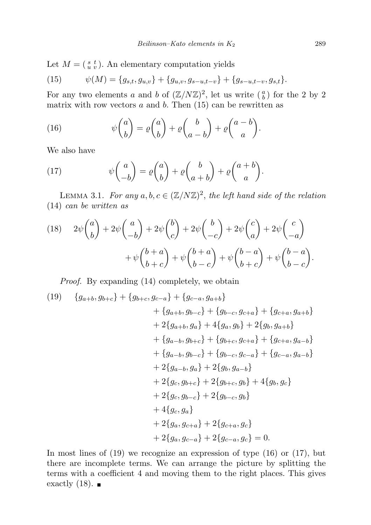Let  $M = \begin{pmatrix} s & t \\ u & v \end{pmatrix}$ . An elementary computation yields

(15) 
$$
\psi(M) = \{g_{s,t}, g_{u,v}\} + \{g_{u,v}, g_{s-u,t-v}\} + \{g_{s-u,t-v}, g_{s,t}\}.
$$

For any two elements a and b of  $(\mathbb{Z}/N\mathbb{Z})^2$ , let us write  $(\begin{smallmatrix} a \\ b \end{smallmatrix})$  for the 2 by 2 matrix with row vectors  $a$  and  $b$ . Then (15) can be rewritten as

(16) 
$$
\psi \binom{a}{b} = \varrho \binom{a}{b} + \varrho \binom{b}{a-b} + \varrho \binom{a-b}{a}.
$$

We also have

(17) 
$$
\psi \begin{pmatrix} a \\ -b \end{pmatrix} = \varrho \begin{pmatrix} a \\ b \end{pmatrix} + \varrho \begin{pmatrix} b \\ a+b \end{pmatrix} + \varrho \begin{pmatrix} a+b \\ a \end{pmatrix}.
$$

LEMMA 3.1. For any  $a, b, c \in (\mathbb{Z}/N\mathbb{Z})^2$ , the left hand side of the relation (14) can be written as

(18) 
$$
2\psi \binom{a}{b} + 2\psi \binom{a}{-b} + 2\psi \binom{b}{c} + 2\psi \binom{b}{-c} + 2\psi \binom{c}{a} + 2\psi \binom{c}{-a} + \psi \binom{b+a}{b+c} + \psi \binom{b+a}{b-c} + \psi \binom{b-a}{b-c} + \psi \binom{b-a}{b-c}.
$$

Proof. By expanding (14) completely, we obtain

$$
(19) \quad \{g_{a+b}, g_{b+c}\} + \{g_{b+c}, g_{c-a}\} + \{g_{c-a}, g_{a+b}\} + \{g_{a+b}, g_{b-c}\} + \{g_{b-c}, g_{c+a}\} + \{g_{c+a}, g_{a+b}\} + 2\{g_{a+b}, g_a\} + 4\{g_a, g_b\} + 2\{g_b, g_{a+b}\} + \{g_{a-b}, g_{b+c}\} + \{g_{b+c}, g_{c+a}\} + \{g_{c+a}, g_{a-b}\} + \{g_{a-b}, g_{b-c}\} + \{g_{b-c}, g_{c-a}\} + \{g_{c-a}, g_{a-b}\} + 2\{g_{a-b}, g_a\} + 2\{g_b, g_{a-b}\} + 2\{g_c, g_{b+c}\} + 2\{g_{b+c}, g_b\} + 4\{g_b, g_c\} + 2\{g_c, g_{b-c}\} + 2\{g_{b-c}, g_b\} + 4\{g_c, g_a\} + 2\{g_a, g_{c+a}\} + 2\{g_{c+a}, g_c\} + 2\{g_a, g_{c-a}\} + 2\{g_{c-a}, g_c\} = 0.
$$

In most lines of  $(19)$  we recognize an expression of type  $(16)$  or  $(17)$ , but there are incomplete terms. We can arrange the picture by splitting the terms with a coefficient 4 and moving them to the right places. This gives exactly  $(18)$ .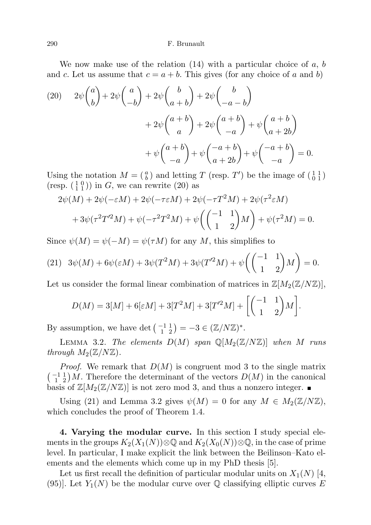We now make use of the relation  $(14)$  with a particular choice of a, b and c. Let us assume that  $c = a + b$ . This gives (for any choice of a and b)

(20) 
$$
2\psi \binom{a}{b} + 2\psi \binom{a}{-b} + 2\psi \binom{b}{a+b} + 2\psi \binom{b}{-a-b} + 2\psi \binom{a+b}{a} + 2\psi \binom{a+b}{-a} + \psi \binom{a+b}{-a} + \psi \binom{a+b}{-a} + \psi \binom{a+b}{-a} + \psi \binom{-a+b}{-a} + \psi \binom{-a+b}{-a} + \psi \binom{-a+b}{-a} = 0.
$$

Using the notation  $M = \begin{pmatrix} a \\ b \end{pmatrix}$  and letting T (resp. T') be the image of  $\begin{pmatrix} 1 & 1 \\ 0 & 1 \end{pmatrix}$ (resp.  $\left(\begin{smallmatrix} 1 & 0 \\ 1 & 1 \end{smallmatrix}\right)$ ) in G, we can rewrite (20) as

$$
2\psi(M) + 2\psi(-\varepsilon M) + 2\psi(-\tau \varepsilon M) + 2\psi(-\tau T^2 M) + 2\psi(\tau^2 \varepsilon M)
$$

$$
+ 3\psi(\tau^2 T'^2 M) + \psi(-\tau^2 T^2 M) + \psi\left(\begin{pmatrix} -1 & 1\\ 1 & 2 \end{pmatrix} M\right) + \psi(\tau^2 M) = 0.
$$

Since  $\psi(M) = \psi(-M) = \psi(\tau M)$  for any M, this simplifies to

(21) 
$$
3\psi(M) + 6\psi(\varepsilon M) + 3\psi(T^2M) + 3\psi(T'^2M) + \psi\left(\begin{pmatrix} -1 & 1\\ 1 & 2 \end{pmatrix}M\right) = 0.
$$

Let us consider the formal linear combination of matrices in  $\mathbb{Z}[M_2(\mathbb{Z}/N\mathbb{Z})],$ 

$$
D(M) = 3[M] + 6[\varepsilon M] + 3[T^2M] + 3[T'^2M] + \left[ \begin{pmatrix} -1 & 1 \\ 1 & 2 \end{pmatrix} M \right]
$$

.

By assumption, we have det  $\left(\begin{smallmatrix} -1 & 1 \\ 1 & 2 \end{smallmatrix}\right) = -3 \in (\mathbb{Z}/N\mathbb{Z})^*$ .

LEMMA 3.2. The elements  $D(M)$  span  $\mathbb{Q}[M_2(\mathbb{Z}/N\mathbb{Z})]$  when M runs through  $M_2(\mathbb{Z}/N\mathbb{Z})$ .

*Proof.* We remark that  $D(M)$  is congruent mod 3 to the single matrix  $\binom{-1}{1}$  M. Therefore the determinant of the vectors  $D(M)$  in the canonical basis of  $\mathbb{Z}[M_2(\mathbb{Z}/N\mathbb{Z})]$  is not zero mod 3, and thus a nonzero integer.

Using (21) and Lemma 3.2 gives  $\psi(M) = 0$  for any  $M \in M_2(\mathbb{Z}/N\mathbb{Z}),$ which concludes the proof of Theorem 1.4.

4. Varying the modular curve. In this section I study special elements in the groups  $K_2(X_1(N))\otimes\mathbb{Q}$  and  $K_2(X_0(N))\otimes\mathbb{Q}$ , in the case of prime level. In particular, I make explicit the link between the Beilinson–Kato elements and the elements which come up in my PhD thesis [5].

Let us first recall the definition of particular modular units on  $X_1(N)$  [4, (95). Let  $Y_1(N)$  be the modular curve over Q classifying elliptic curves E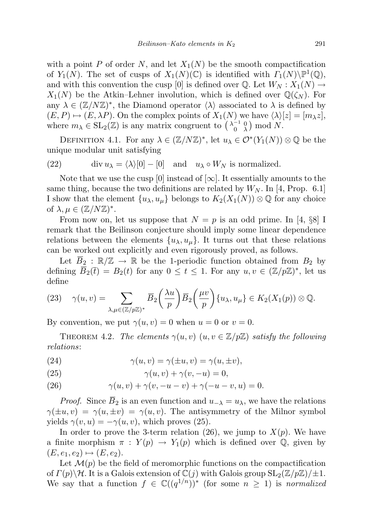with a point P of order N, and let  $X_1(N)$  be the smooth compactification of  $Y_1(N)$ . The set of cusps of  $X_1(N)(\mathbb{C})$  is identified with  $\Gamma_1(N)\backslash\mathbb{P}^1(\mathbb{Q})$ , and with this convention the cusp [0] is defined over Q. Let  $W_N : X_1(N) \to$  $X_1(N)$  be the Atkin–Lehner involution, which is defined over  $\mathbb{Q}(\zeta_N)$ . For any  $\lambda \in (\mathbb{Z}/N\mathbb{Z})^*$ , the Diamond operator  $\langle \lambda \rangle$  associated to  $\lambda$  is defined by  $(E, P) \mapsto (E, \lambda P)$ . On the complex points of  $X_1(N)$  we have  $\langle \lambda \rangle [z] = [m_\lambda z],$ where  $m_{\lambda} \in SL_2(\mathbb{Z})$  is any matrix congruent to  $\begin{pmatrix} \lambda_0^{-1} & 0 \\ 0 & \lambda \end{pmatrix}$  mod N.

DEFINITION 4.1. For any  $\lambda \in (\mathbb{Z}/N\mathbb{Z})^*$ , let  $u_{\lambda} \in \mathcal{O}^*(Y_1(N)) \otimes \mathbb{Q}$  be the unique modular unit satisfying

(22) 
$$
\operatorname{div} u_{\lambda} = \langle \lambda \rangle [0] - [0] \quad \text{and} \quad u_{\lambda} \circ W_N \text{ is normalized.}
$$

Note that we use the cusp [0] instead of  $[\infty]$ . It essentially amounts to the same thing, because the two definitions are related by  $W_N$ . In [4, Prop. 6.1] I show that the element  $\{u_{\lambda}, u_{\mu}\}\$  belongs to  $K_2(X_1(N))\otimes\mathbb{Q}$  for any choice of  $\lambda, \mu \in (\mathbb{Z}/N\mathbb{Z})^*$ .

From now on, let us suppose that  $N = p$  is an odd prime. In [4, §8] I remark that the Beilinson conjecture should imply some linear dependence relations between the elements  $\{u_{\lambda}, u_{\mu}\}.$  It turns out that these relations can be worked out explicitly and even rigorously proved, as follows.

Let  $\overline{B}_2 : \mathbb{R}/\mathbb{Z} \to \mathbb{R}$  be the 1-periodic function obtained from  $B_2$  by defining  $\overline{B}_2(\overline{t}) = B_2(t)$  for any  $0 \le t \le 1$ . For any  $u, v \in (\mathbb{Z}/p\mathbb{Z})^*$ , let us define

(23) 
$$
\gamma(u,v) = \sum_{\lambda,\mu \in (\mathbb{Z}/p\mathbb{Z})^*} \overline{B}_2\left(\frac{\lambda u}{p}\right) \overline{B}_2\left(\frac{\mu v}{p}\right) \{u_\lambda, u_\mu\} \in K_2(X_1(p)) \otimes \mathbb{Q}.
$$

By convention, we put  $\gamma(u, v) = 0$  when  $u = 0$  or  $v = 0$ .

THEOREM 4.2. The elements  $\gamma(u, v)$   $(u, v \in \mathbb{Z}/p\mathbb{Z})$  satisfy the following relations:

(24) 
$$
\gamma(u,v) = \gamma(\pm u,v) = \gamma(u,\pm v),
$$

(25) 
$$
\gamma(u,v) + \gamma(v,-u) = 0,
$$

(26) 
$$
\gamma(u, v) + \gamma(v, -u - v) + \gamma(-u - v, u) = 0.
$$

*Proof.* Since  $\overline{B}_2$  is an even function and  $u_{-\lambda} = u_{\lambda}$ , we have the relations  $\gamma(\pm u, v) = \gamma(u, \pm v) = \gamma(u, v)$ . The antisymmetry of the Milnor symbol yields  $\gamma(v, u) = -\gamma(u, v)$ , which proves (25).

In order to prove the 3-term relation (26), we jump to  $X(p)$ . We have a finite morphism  $\pi : Y(p) \to Y_1(p)$  which is defined over Q, given by  $(E, e_1, e_2) \mapsto (E, e_2).$ 

Let  $\mathcal{M}(p)$  be the field of meromorphic functions on the compactification of  $\Gamma(p)\backslash\mathcal{H}$ . It is a Galois extension of  $\mathbb{C}(j)$  with Galois group  $SL_2(\mathbb{Z}/p\mathbb{Z})/\pm 1$ . We say that a function  $f \in \mathbb{C}((q^{1/n}))^*$  (for some  $n \geq 1$ ) is *normalized*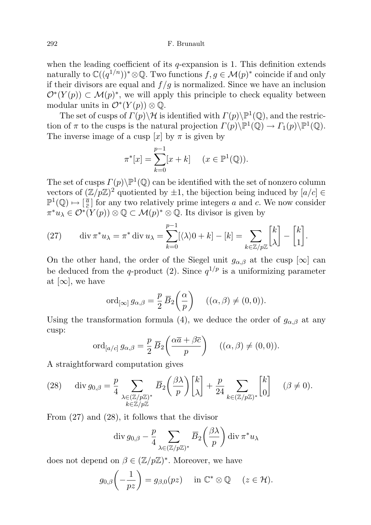when the leading coefficient of its  $q$ -expansion is 1. This definition extends naturally to  $\mathbb{C}((q^{1/n}))^* \otimes \mathbb{Q}$ . Two functions  $f, g \in \mathcal{M}(p)^*$  coincide if and only if their divisors are equal and  $f/g$  is normalized. Since we have an inclusion  $\mathcal{O}^*(Y(p)) \subset \mathcal{M}(p)^*$ , we will apply this principle to check equality between modular units in  $\mathcal{O}^*(Y(p))\otimes \mathbb{Q}$ .

The set of cusps of  $\Gamma(p)\backslash \mathcal{H}$  is identified with  $\Gamma(p)\backslash \mathbb{P}^1(\mathbb{Q})$ , and the restriction of  $\pi$  to the cusps is the natural projection  $\Gamma(p)\backslash\mathbb{P}^1(\mathbb{Q})\to\Gamma_1(p)\backslash\mathbb{P}^1(\mathbb{Q})$ . The inverse image of a cusp [x] by  $\pi$  is given by

$$
\pi^*[x] = \sum_{k=0}^{p-1} [x+k] \quad (x \in \mathbb{P}^1(\mathbb{Q})).
$$

The set of cusps  $\Gamma(p)\backslash\mathbb{P}^1(\mathbb{Q})$  can be identified with the set of nonzero column vectors of  $(\mathbb{Z}/p\mathbb{Z})^2$  quotiented by  $\pm 1$ , the bijection being induced by  $[a/c] \in$  $\mathbb{P}^1(\mathbb{Q}) \mapsto [\frac{\overline{a}}{c}]$  for any two relatively prime integers a and c. We now consider  $\pi^* u_\lambda \in \mathcal{O}^*(Y(p)) \otimes \mathbb{Q} \subset \mathcal{M}(p)^* \otimes \mathbb{Q}$ . Its divisor is given by

(27) 
$$
\operatorname{div} \pi^* u_\lambda = \pi^* \operatorname{div} u_\lambda = \sum_{k=0}^{p-1} [\langle \lambda \rangle 0 + k] - [k] = \sum_{k \in \mathbb{Z}/p\mathbb{Z}} \begin{bmatrix} k \\ \lambda \end{bmatrix} - \begin{bmatrix} k \\ 1 \end{bmatrix}.
$$

On the other hand, the order of the Siegel unit  $g_{\alpha,\beta}$  at the cusp  $[\infty]$  can be deduced from the q-product (2). Since  $q^{1/p}$  is a uniformizing parameter at  $[\infty]$ , we have

$$
\operatorname{ord}_{[\infty]} g_{\alpha,\beta} = \frac{p}{2} \overline{B}_2\left(\frac{\alpha}{p}\right) \quad ((\alpha,\beta) \neq (0,0)).
$$

Using the transformation formula (4), we deduce the order of  $g_{\alpha,\beta}$  at any cusp:

$$
\operatorname{ord}_{[a/c]} g_{\alpha,\beta} = \frac{p}{2} \overline{B}_2 \left( \frac{\alpha \overline{a} + \beta \overline{c}}{p} \right) \quad ((\alpha, \beta) \neq (0, 0)).
$$

A straightforward computation gives

(28) 
$$
\operatorname{div} g_{0,\beta} = \frac{p}{4} \sum_{\substack{\lambda \in (\mathbb{Z}/p\mathbb{Z})^* \\ k \in \mathbb{Z}/p\mathbb{Z}}} \overline{B}_2 \left( \frac{\beta \lambda}{p} \right) \begin{bmatrix} k \\ \lambda \end{bmatrix} + \frac{p}{24} \sum_{k \in (\mathbb{Z}/p\mathbb{Z})^*} \begin{bmatrix} k \\ 0 \end{bmatrix} \quad (\beta \neq 0).
$$

From (27) and (28), it follows that the divisor

$$
\operatorname{div} g_{0,\beta} - \frac{p}{4} \sum_{\lambda \in (\mathbb{Z}/p\mathbb{Z})^*} \overline{B}_2\left(\frac{\beta \lambda}{p}\right) \operatorname{div} \pi^* u_\lambda
$$

does not depend on  $\beta \in (\mathbb{Z}/p\mathbb{Z})^*$ . Moreover, we have

$$
g_{0,\beta}\left(-\frac{1}{pz}\right)=g_{\beta,0}(pz)\quad\text{ in }\mathbb{C}^*\otimes\mathbb{Q}\quad(z\in\mathcal{H}).
$$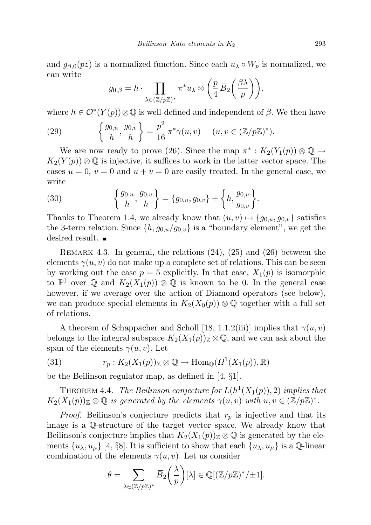and  $g_{\beta,0}(pz)$  is a normalized function. Since each  $u_\lambda \circ W_p$  is normalized, we can write

$$
g_{0,\beta}=h\cdot\prod_{\lambda\in(\mathbb{Z}/p\mathbb{Z})^*}\pi^*u_\lambda\otimes\left(\frac{p}{4}\,\overline{B}_2\!\left(\frac{\beta\lambda}{p}\right)\right)\!,
$$

where  $h \in \mathcal{O}^*(Y(p)) \otimes \mathbb{Q}$  is well-defined and independent of  $\beta$ . We then have

(29) 
$$
\left\{\frac{g_{0,u}}{h}, \frac{g_{0,v}}{h}\right\} = \frac{p^2}{16} \pi^* \gamma(u,v) \quad (u,v \in (\mathbb{Z}/p\mathbb{Z})^*).
$$

We are now ready to prove (26). Since the map  $\pi^*: K_2(Y_1(p)) \otimes \mathbb{Q} \to$  $K_2(Y(p))\otimes\mathbb{Q}$  is injective, it suffices to work in the latter vector space. The cases  $u = 0$ ,  $v = 0$  and  $u + v = 0$  are easily treated. In the general case, we write

(30) 
$$
\left\{\frac{g_{0,u}}{h},\frac{g_{0,v}}{h}\right\} = \left\{g_{0,u},g_{0,v}\right\} + \left\{h,\frac{g_{0,u}}{g_{0,v}}\right\}.
$$

Thanks to Theorem 1.4, we already know that  $(u, v) \mapsto \{g_{0,u}, g_{0,v}\}\$  satisfies the 3-term relation. Since  $\{h, g_{0,u}/g_{0,v}\}$  is a "boundary element", we get the desired result. ■

REMARK 4.3. In general, the relations  $(24)$ ,  $(25)$  and  $(26)$  between the elements  $\gamma(u, v)$  do not make up a complete set of relations. This can be seen by working out the case  $p = 5$  explicitly. In that case,  $X_1(p)$  is isomorphic to  $\mathbb{P}^1$  over  $\mathbb Q$  and  $K_2(X_1(p)) \otimes \mathbb Q$  is known to be 0. In the general case however, if we average over the action of Diamond operators (see below), we can produce special elements in  $K_2(X_0(p)) \otimes \mathbb{Q}$  together with a full set of relations.

A theorem of Schappacher and Scholl [18, 1.1.2(iii)] implies that  $\gamma(u, v)$ belongs to the integral subspace  $K_2(X_1(p))\mathbb{Z} \otimes \mathbb{Q}$ , and we can ask about the span of the elements  $\gamma(u, v)$ . Let

(31) 
$$
r_p: K_2(X_1(p))_{\mathbb{Z}} \otimes \mathbb{Q} \to \text{Hom}_{\mathbb{Q}}(\Omega^1(X_1(p)), \mathbb{R})
$$

be the Beilinson regulator map, as defined in [4, §1].

THEOREM 4.4. The Beilinson conjecture for  $L(h^1(X_1(p)), 2)$  implies that  $K_2(X_1(p))_\mathbb{Z} \otimes \mathbb{Q}$  is generated by the elements  $\gamma(u, v)$  with  $u, v \in (\mathbb{Z}/p\mathbb{Z})^*$ .

*Proof.* Beilinson's conjecture predicts that  $r_p$  is injective and that its image is a Q-structure of the target vector space. We already know that Beilinson's conjecture implies that  $K_2(X_1(p))\mathbb{Z} \otimes \mathbb{Q}$  is generated by the elements  $\{u_{\lambda}, u_{\mu}\}$  [4, §8]. It is sufficient to show that each  $\{u_{\lambda}, u_{\mu}\}$  is a Q-linear combination of the elements  $\gamma(u, v)$ . Let us consider

$$
\theta = \sum_{\lambda \in (\mathbb{Z}/p\mathbb{Z})^*} \overline{B}_2\left(\frac{\lambda}{p}\right)[\lambda] \in \mathbb{Q}[(\mathbb{Z}/p\mathbb{Z})^*/\pm 1].
$$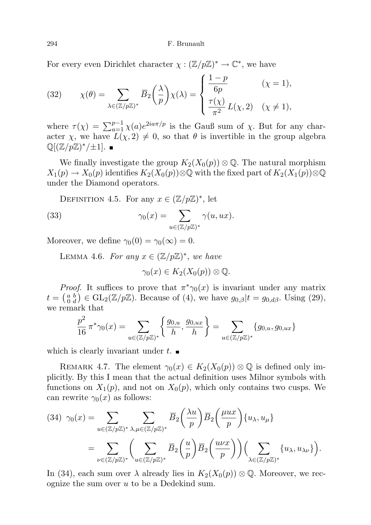For every even Dirichlet character  $\chi : (\mathbb{Z}/p\mathbb{Z})^* \to \mathbb{C}^*$ , we have

(32) 
$$
\chi(\theta) = \sum_{\lambda \in (\mathbb{Z}/p\mathbb{Z})^*} \overline{B}_2\left(\frac{\lambda}{p}\right) \chi(\lambda) = \begin{cases} \frac{1-p}{6p} & (\chi = 1), \\ \frac{\tau(\chi)}{\pi^2} L(\chi, 2) & (\chi \neq 1), \end{cases}
$$

where  $\tau(\chi) = \sum_{a=1}^{p-1} \chi(a) e^{2ia\pi/p}$  is the Gauß sum of  $\chi$ . But for any character  $\chi$ , we have  $\bar{L}(\chi, 2) \neq 0$ , so that  $\theta$  is invertible in the group algebra  $\mathbb{Q}[(\mathbb{Z}/p\mathbb{Z})^*/\pm 1].$ 

We finally investigate the group  $K_2(X_0(p)) \otimes \mathbb{Q}$ . The natural morphism  $X_1(p) \to X_0(p)$  identifies  $K_2(X_0(p))\otimes\mathbb{Q}$  with the fixed part of  $K_2(X_1(p))\otimes\mathbb{Q}$ under the Diamond operators.

DEFINITION 4.5. For any  $x \in (\mathbb{Z}/p\mathbb{Z})^*$ , let

(33) 
$$
\gamma_0(x) = \sum_{u \in (\mathbb{Z}/p\mathbb{Z})^*} \gamma(u, ux).
$$

Moreover, we define  $\gamma_0(0) = \gamma_0(\infty) = 0$ .

LEMMA 4.6. For any  $x \in (\mathbb{Z}/p\mathbb{Z})^*$ , we have

$$
\gamma_0(x) \in K_2(X_0(p)) \otimes \mathbb{Q}.
$$

*Proof.* It suffices to prove that  $\pi^*\gamma_0(x)$  is invariant under any matrix  $t = \begin{pmatrix} a & b \\ 0 & d \end{pmatrix} \in GL_2(\mathbb{Z}/p\mathbb{Z})$ . Because of (4), we have  $g_{0,\beta}|t = g_{0,d\beta}$ . Using (29), we remark that

$$
\frac{p^2}{16} \pi^* \gamma_0(x) = \sum_{u \in (\mathbb{Z}/p\mathbb{Z})^*} \left\{ \frac{g_{0,u}}{h}, \frac{g_{0,ux}}{h} \right\} = \sum_{u \in (\mathbb{Z}/p\mathbb{Z})^*} \{g_{0,u}, g_{0,ux}\}\
$$

which is clearly invariant under  $t$ .

REMARK 4.7. The element  $\gamma_0(x) \in K_2(X_0(p)) \otimes \mathbb{Q}$  is defined only implicitly. By this I mean that the actual definition uses Milnor symbols with functions on  $X_1(p)$ , and not on  $X_0(p)$ , which only contains two cusps. We can rewrite  $\gamma_0(x)$  as follows:

$$
(34) \ \gamma_0(x) = \sum_{u \in (\mathbb{Z}/p\mathbb{Z})^*} \sum_{\lambda, \mu \in (\mathbb{Z}/p\mathbb{Z})^*} \overline{B}_2\left(\frac{\lambda u}{p}\right) \overline{B}_2\left(\frac{\mu ux}{p}\right) \{u_\lambda, u_\mu\} \\
= \sum_{\nu \in (\mathbb{Z}/p\mathbb{Z})^*} \left(\sum_{u \in (\mathbb{Z}/p\mathbb{Z})^*} \overline{B}_2\left(\frac{u}{p}\right) \overline{B}_2\left(\frac{u\nu x}{p}\right)\right) \left(\sum_{\lambda \in (\mathbb{Z}/p\mathbb{Z})^*} \{u_\lambda, u_{\lambda\nu}\}\right).
$$

In (34), each sum over  $\lambda$  already lies in  $K_2(X_0(p)) \otimes \mathbb{Q}$ . Moreover, we recognize the sum over  $u$  to be a Dedekind sum.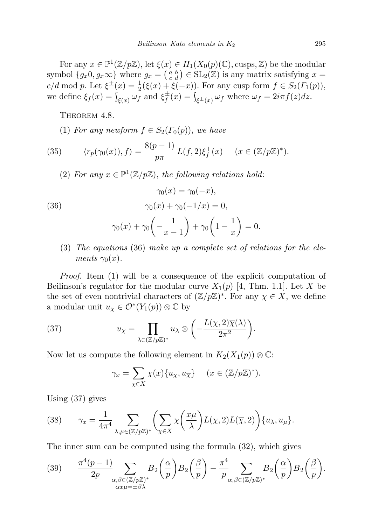For any  $x \in \mathbb{P}^1(\mathbb{Z}/p\mathbb{Z})$ , let  $\xi(x) \in H_1(X_0(p)(\mathbb{C}), \text{cusps}, \mathbb{Z})$  be the modular symbol  $\{g_x 0, g_x \infty\}$  where  $g_x = \begin{pmatrix} a & b \\ c & d \end{pmatrix} \in SL_2(\mathbb{Z})$  is any matrix satisfying  $x =$  $c/d \mod p$ . Let  $\xi^{\pm}(x) = \frac{1}{2}(\xi(x) + \xi(-x))$ . For any cusp form  $f \in S_2(\Gamma_1(p))$ , we define  $\xi_f(x) = \int_{\xi(x)} \omega_f$  and  $\xi_f^{\pm}$  $f_f^{\pm}(x) = \int_{\xi^{\pm}(x)} \omega_f$  where  $\omega_f = 2i\pi f(z)dz$ .

THEOREM 4.8.

(1) For any newform  $f \in S_2(\Gamma_0(p))$ , we have

(35) 
$$
\langle r_p(\gamma_0(x)), f \rangle = \frac{8(p-1)}{p\pi} L(f, 2)\xi_f^+(x) \quad (x \in (\mathbb{Z}/p\mathbb{Z})^*).
$$

(2) For any  $x \in \mathbb{P}^1(\mathbb{Z}/p\mathbb{Z})$ , the following relations hold:

(36)  
\n
$$
\gamma_0(x) = \gamma_0(-x),
$$
\n
$$
\gamma_0(x) + \gamma_0(-1/x) = 0,
$$
\n
$$
\gamma_0(x) + \gamma_0\left(-\frac{1}{x-1}\right) + \gamma_0\left(1 - \frac{1}{x}\right) = 0.
$$

(3) The equations (36) make up a complete set of relations for the elements  $\gamma_0(x)$ .

Proof. Item (1) will be a consequence of the explicit computation of Beilinson's regulator for the modular curve  $X_1(p)$  [4, Thm. 1.1]. Let X be the set of even nontrivial characters of  $(\mathbb{Z}/p\mathbb{Z})^*$ . For any  $\chi \in X$ , we define a modular unit  $u_\chi \in \mathcal{O}^*(Y_1(p)) \otimes \mathbb{C}$  by

(37) 
$$
u_{\chi} = \prod_{\lambda \in (\mathbb{Z}/p\mathbb{Z})^*} u_{\lambda} \otimes \left( -\frac{L(\chi, 2)\overline{\chi}(\lambda)}{2\pi^2} \right).
$$

Now let us compute the following element in  $K_2(X_1(p)) \otimes \mathbb{C}$ :

$$
\gamma_x = \sum_{\chi \in X} \chi(x) \{ u_\chi, u_{\overline{\chi}} \} \quad (x \in (\mathbb{Z}/p\mathbb{Z})^*).
$$

Using (37) gives

(38) 
$$
\gamma_x = \frac{1}{4\pi^4} \sum_{\lambda,\mu \in (\mathbb{Z}/p\mathbb{Z})^*} \left( \sum_{\chi \in X} \chi \left( \frac{x\mu}{\lambda} \right) L(\chi,2) L(\overline{\chi},2) \right) \{u_\lambda, u_\mu\}.
$$

The inner sum can be computed using the formula (32), which gives

(39) 
$$
\frac{\pi^4(p-1)}{2p} \sum_{\substack{\alpha,\beta \in (\mathbb{Z}/p\mathbb{Z})^*\\ \alpha x \mu = \pm \beta \lambda}} \overline{B}_2\left(\frac{\alpha}{p}\right) \overline{B}_2\left(\frac{\beta}{p}\right) - \frac{\pi^4}{p} \sum_{\alpha,\beta \in (\mathbb{Z}/p\mathbb{Z})^*} \overline{B}_2\left(\frac{\alpha}{p}\right) \overline{B}_2\left(\frac{\beta}{p}\right).
$$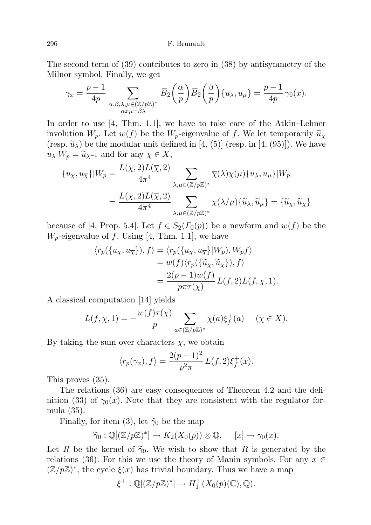The second term of (39) contributes to zero in (38) by antisymmetry of the Milnor symbol. Finally, we get

$$
\gamma_x = \frac{p-1}{4p} \sum_{\substack{\alpha,\beta,\lambda,\mu \in (\mathbb{Z}/p\mathbb{Z})^*\\ \alpha x \mu = \beta \lambda}} \overline{B}_2\left(\frac{\alpha}{p}\right) \overline{B}_2\left(\frac{\beta}{p}\right) \{u_\lambda, u_\mu\} = \frac{p-1}{4p} \gamma_0(x).
$$

In order to use [4, Thm. 1.1], we have to take care of the Atkin–Lehner involution  $W_p$ . Let  $w(f)$  be the  $W_p$ -eigenvalue of f. We let temporarily  $\widetilde{u}_\chi$ (resp.  $\tilde{u}_{\lambda}$ ) be the modular unit defined in [4, (5)] (resp. in [4, (95)]). We have  $u_\lambda|W_p = \widetilde{u}_{\lambda^{-1}}$  and for any  $\chi \in X$ ,

$$
\{u_{\chi}, u_{\overline{\chi}}\}|W_p = \frac{L(\chi, 2)L(\overline{\chi}, 2)}{4\pi^4} \sum_{\lambda, \mu \in (\mathbb{Z}/p\mathbb{Z})^*} \overline{\chi}(\lambda) \chi(\mu) \{u_{\lambda}, u_{\mu}\}|W_p
$$
  

$$
= \frac{L(\chi, 2)L(\overline{\chi}, 2)}{4\pi^4} \sum_{\lambda, \mu \in (\mathbb{Z}/p\mathbb{Z})^*} \chi(\lambda/\mu) \{\widetilde{u}_{\lambda}, \widetilde{u}_{\mu}\} = \{\widetilde{u}_{\overline{\chi}}, \widetilde{u}_{\chi}\}
$$

because of [4, Prop. 5.4]. Let  $f \in S_2(\Gamma_0(p))$  be a newform and  $w(f)$  be the  $W_p$ -eigenvalue of f. Using [4, Thm. 1.1], we have

$$
\langle r_p(\{u_\chi, u_{\overline{\chi}}\}), f \rangle = \langle r_p(\{u_\chi, u_{\overline{\chi}}\}|W_p), W_p f \rangle
$$
  
=  $w(f) \langle r_p(\{\tilde{u}_\chi, \tilde{u}_{\overline{\chi}}\}), f \rangle$   
=  $\frac{2(p-1)w(f)}{p\pi\tau(\chi)} L(f, 2)L(f, \chi, 1).$ 

A classical computation [14] yields

$$
L(f, \chi, 1) = -\frac{w(f)\tau(\chi)}{p} \sum_{a \in (\mathbb{Z}/p\mathbb{Z})^*} \chi(a)\xi_f^+(a) \quad (\chi \in X).
$$

By taking the sum over characters  $\chi$ , we obtain

$$
\langle r_p(\gamma_x), f \rangle = \frac{2(p-1)^2}{p^2 \pi} L(f, 2) \xi_f^+(x).
$$

This proves (35).

The relations (36) are easy consequences of Theorem 4.2 and the definition (33) of  $\gamma_0(x)$ . Note that they are consistent with the regulator formula (35).

Finally, for item (3), let  $\widetilde{\gamma}_0$  be the map

$$
\widetilde{\gamma}_0 : \mathbb{Q}[(\mathbb{Z}/p\mathbb{Z})^*] \to K_2(X_0(p)) \otimes \mathbb{Q}, \quad [x] \mapsto \gamma_0(x).
$$

Let R be the kernel of  $\tilde{\gamma}_0$ . We wish to show that R is generated by the relations (36). For this we use the theory of Manin symbols. For any  $x \in$  $(\mathbb{Z}/p\mathbb{Z})^*$ , the cycle  $\xi(x)$  has trivial boundary. Thus we have a map

$$
\xi^+:\mathbb{Q}[(\mathbb{Z}/p\mathbb{Z})^*] \to H_1^+(X_0(p)(\mathbb{C}),\mathbb{Q}).
$$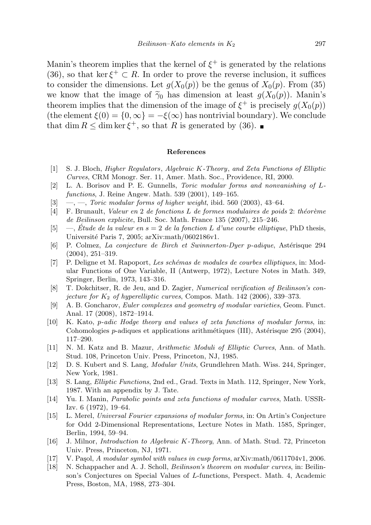Manin's theorem implies that the kernel of  $\xi^+$  is generated by the relations (36), so that ker  $\xi^+ \subset R$ . In order to prove the reverse inclusion, it suffices to consider the dimensions. Let  $g(X_0(p))$  be the genus of  $X_0(p)$ . From (35) we know that the image of  $\tilde{\gamma}_0$  has dimension at least  $g(X_0(p))$ . Manin's theorem implies that the dimension of the image of  $\xi^+$  is precisely  $g(X_0(p))$ (the element  $\xi(0) = \{0, \infty\} = -\xi(\infty)$  has nontrivial boundary). We conclude that dim  $R \leq \dim \ker \xi^+$ , so that R is generated by (36).

## References

- [1] S. J. Bloch, Higher Regulators, Algebraic K-Theory, and Zeta Functions of Elliptic Curves, CRM Monogr. Ser. 11, Amer. Math. Soc., Providence, RI, 2000.
- [2] L. A. Borisov and P. E. Gunnells, Toric modular forms and nonvanishing of Lfunctions, J. Reine Angew. Math. 539 (2001), 149–165.
- $[3] \quad -$ , Toric modular forms of higher weight, ibid. 560 (2003), 43-64.
- $[4]$  F. Brunault, Valeur en 2 de fonctions L de formes modulaires de poids 2: théorème de Beilinson explicite, Bull. Soc. Math. France 135 (2007), 215–246.
- [5]  $\quad$ , Etude de la valeur en s = 2 de la fonction L d'une courbe elliptique, PhD thesis, Université Paris 7, 2005; arXiv:math/0602186v1.
- [6] P. Colmez, La conjecture de Birch et Swinnerton-Dyer p-adique, Astérisque 294 (2004), 251–319.
- [7] P. Deligne et M. Rapoport, Les schémas de modules de courbes elliptiques, in: Modular Functions of One Variable, II (Antwerp, 1972), Lecture Notes in Math. 349, Springer, Berlin, 1973, 143–316.
- [8] T. Dokchitser, R. de Jeu, and D. Zagier, Numerical verification of Beilinson's conjecture for  $K_2$  of hyperelliptic curves, Compos. Math. 142 (2006), 339–373.
- [9] A. B. Goncharov, Euler complexes and geometry of modular varieties, Geom. Funct. Anal. 17 (2008), 1872–1914.
- [10] K. Kato, p-adic Hodge theory and values of zeta functions of modular forms, in: Cohomologies  $p$ -adiques et applications arithmétiques (III), Astérisque 295 (2004), 117–290.
- [11] N. M. Katz and B. Mazur, Arithmetic Moduli of Elliptic Curves, Ann. of Math. Stud. 108, Princeton Univ. Press, Princeton, NJ, 1985.
- [12] D. S. Kubert and S. Lang, Modular Units, Grundlehren Math. Wiss. 244, Springer, New York, 1981.
- [13] S. Lang, Elliptic Functions, 2nd ed., Grad. Texts in Math. 112, Springer, New York, 1987. With an appendix by J. Tate.
- [14] Yu. I. Manin, Parabolic points and zeta functions of modular curves, Math. USSR-Izv. 6 (1972), 19–64.
- [15] L. Merel, Universal Fourier expansions of modular forms, in: On Artin's Conjecture for Odd 2-Dimensional Representations, Lecture Notes in Math. 1585, Springer, Berlin, 1994, 59–94.
- [16] J. Milnor, Introduction to Algebraic K-Theory, Ann. of Math. Stud. 72, Princeton Univ. Press, Princeton, NJ, 1971.
- [17] V. Paşol, A modular symbol with values in cusp forms, arXiv:math/0611704v1, 2006.
- [18] N. Schappacher and A. J. Scholl, Beilinson's theorem on modular curves, in: Beilinson's Conjectures on Special Values of L-functions, Perspect. Math. 4, Academic Press, Boston, MA, 1988, 273–304.